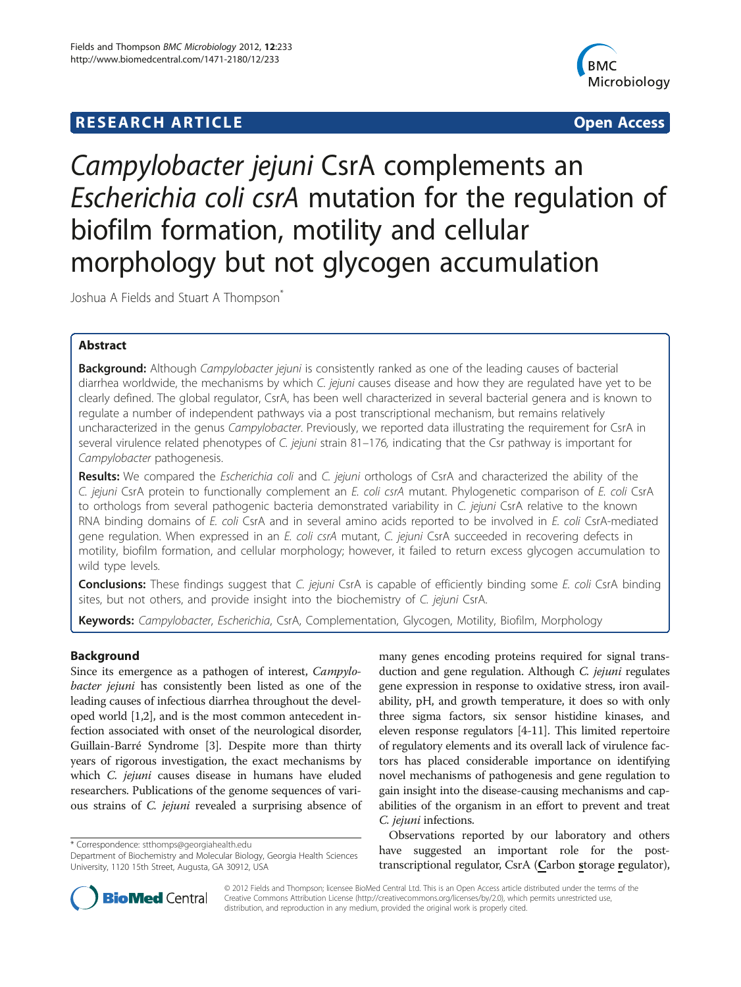## **RESEARCH ARTICLE Example 2014 12:30 The Contract of Contract ACCESS**



# Campylobacter jejuni CsrA complements an Escherichia coli csrA mutation for the regulation of biofilm formation, motility and cellular morphology but not glycogen accumulation

Joshua A Fields and Stuart A Thompson<sup>\*</sup>

## Abstract

Background: Although Campylobacter jejuni is consistently ranked as one of the leading causes of bacterial diarrhea worldwide, the mechanisms by which C. jejuni causes disease and how they are regulated have yet to be clearly defined. The global regulator, CsrA, has been well characterized in several bacterial genera and is known to regulate a number of independent pathways via a post transcriptional mechanism, but remains relatively uncharacterized in the genus Campylobacter. Previously, we reported data illustrating the requirement for CsrA in several virulence related phenotypes of C. jejuni strain 81–176, indicating that the Csr pathway is important for Campylobacter pathogenesis.

Results: We compared the Escherichia coli and C. jejuni orthologs of CsrA and characterized the ability of the C. jejuni CsrA protein to functionally complement an E. coli csrA mutant. Phylogenetic comparison of E. coli CsrA to orthologs from several pathogenic bacteria demonstrated variability in C. jejuni CsrA relative to the known RNA binding domains of E. coli CsrA and in several amino acids reported to be involved in E. coli CsrA-mediated gene regulation. When expressed in an E. coli csrA mutant, C. jejuni CsrA succeeded in recovering defects in motility, biofilm formation, and cellular morphology; however, it failed to return excess glycogen accumulation to wild type levels.

Conclusions: These findings suggest that C. jejuni CsrA is capable of efficiently binding some E. coli CsrA binding sites, but not others, and provide insight into the biochemistry of C. jejuni CsrA.

Keywords: Campylobacter, Escherichia, CsrA, Complementation, Glycogen, Motility, Biofilm, Morphology

## Background

Since its emergence as a pathogen of interest, Campylobacter jejuni has consistently been listed as one of the leading causes of infectious diarrhea throughout the developed world [\[1,2](#page-8-0)], and is the most common antecedent infection associated with onset of the neurological disorder, Guillain-Barré Syndrome [\[3](#page-8-0)]. Despite more than thirty years of rigorous investigation, the exact mechanisms by which C. jejuni causes disease in humans have eluded researchers. Publications of the genome sequences of various strains of C. jejuni revealed a surprising absence of

\* Correspondence: [stthomps@georgiahealth.edu](mailto:stthomps@georgiahealth.edu)

many genes encoding proteins required for signal transduction and gene regulation. Although C. jejuni regulates gene expression in response to oxidative stress, iron availability, pH, and growth temperature, it does so with only three sigma factors, six sensor histidine kinases, and eleven response regulators [\[4-11](#page-8-0)]. This limited repertoire of regulatory elements and its overall lack of virulence factors has placed considerable importance on identifying novel mechanisms of pathogenesis and gene regulation to gain insight into the disease-causing mechanisms and capabilities of the organism in an effort to prevent and treat C. jejuni infections.

Observations reported by our laboratory and others have suggested an important role for the posttranscriptional regulator, CsrA (Carbon storage regulator),



© 2012 Fields and Thompson; licensee BioMed Central Ltd. This is an Open Access article distributed under the terms of the Creative Commons Attribution License (<http://creativecommons.org/licenses/by/2.0>), which permits unrestricted use, distribution, and reproduction in any medium, provided the original work is properly cited.

Department of Biochemistry and Molecular Biology, Georgia Health Sciences University, 1120 15th Street, Augusta, GA 30912, USA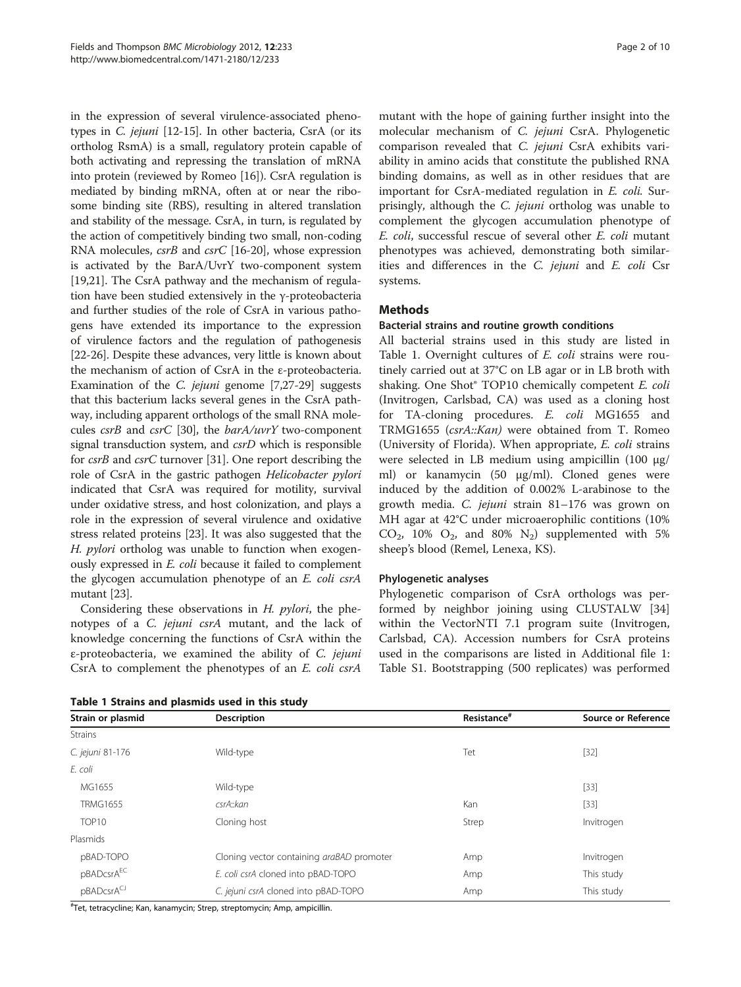<span id="page-1-0"></span>in the expression of several virulence-associated phenotypes in C. jejuni [\[12-15](#page-8-0)]. In other bacteria, CsrA (or its ortholog RsmA) is a small, regulatory protein capable of both activating and repressing the translation of mRNA into protein (reviewed by Romeo [\[16\]](#page-8-0)). CsrA regulation is mediated by binding mRNA, often at or near the ribosome binding site (RBS), resulting in altered translation and stability of the message. CsrA, in turn, is regulated by the action of competitively binding two small, non-coding RNA molecules, csrB and csrC [\[16](#page-8-0)-[20](#page-8-0)], whose expression is activated by the BarA/UvrY two-component system [[19,21](#page-8-0)]. The CsrA pathway and the mechanism of regulation have been studied extensively in the γ-proteobacteria and further studies of the role of CsrA in various pathogens have extended its importance to the expression of virulence factors and the regulation of pathogenesis [[22](#page-8-0)-[26\]](#page-8-0). Despite these advances, very little is known about the mechanism of action of CsrA in the ε-proteobacteria. Examination of the C. jejuni genome [\[7,27-29\]](#page-8-0) suggests that this bacterium lacks several genes in the CsrA pathway, including apparent orthologs of the small RNA molecules  $csrB$  and  $csrC$  [\[30\]](#page-8-0), the  $barA/uvrY$  two-component signal transduction system, and csrD which is responsible for csrB and csrC turnover [[31\]](#page-8-0). One report describing the role of CsrA in the gastric pathogen Helicobacter pylori indicated that CsrA was required for motility, survival under oxidative stress, and host colonization, and plays a role in the expression of several virulence and oxidative stress related proteins [[23](#page-8-0)]. It was also suggested that the H. *pylori* ortholog was unable to function when exogenously expressed in E. coli because it failed to complement the glycogen accumulation phenotype of an E. coli csrA mutant [[23](#page-8-0)].

Considering these observations in H. pylori, the phenotypes of a C. jejuni csrA mutant, and the lack of knowledge concerning the functions of CsrA within the ε-proteobacteria, we examined the ability of C. jejuni CsrA to complement the phenotypes of an E. coli csrA

Table 1 Strains and plasmids used in this study

mutant with the hope of gaining further insight into the molecular mechanism of C. jejuni CsrA. Phylogenetic comparison revealed that C. jejuni CsrA exhibits variability in amino acids that constitute the published RNA binding domains, as well as in other residues that are important for CsrA-mediated regulation in E. coli. Surprisingly, although the C. *jejuni* ortholog was unable to complement the glycogen accumulation phenotype of E. coli, successful rescue of several other E. coli mutant phenotypes was achieved, demonstrating both similarities and differences in the C. jejuni and E. coli Csr systems.

## **Methods**

#### Bacterial strains and routine growth conditions

All bacterial strains used in this study are listed in Table 1. Overnight cultures of E. coli strains were routinely carried out at 37°C on LB agar or in LB broth with shaking. One Shot® TOP10 chemically competent E. coli (Invitrogen, Carlsbad, CA) was used as a cloning host for TA-cloning procedures. E. coli MG1655 and TRMG1655 (csrA::Kan) were obtained from T. Romeo (University of Florida). When appropriate, E. coli strains were selected in LB medium using ampicillin (100 μg/ ml) or kanamycin (50 μg/ml). Cloned genes were induced by the addition of 0.002% L-arabinose to the growth media. C. jejuni strain 81–176 was grown on MH agar at 42°C under microaerophilic contitions (10%  $CO<sub>2</sub>$ , 10%  $O<sub>2</sub>$ , and 80% N<sub>2</sub>) supplemented with 5% sheep's blood (Remel, Lenexa, KS).

#### Phylogenetic analyses

Phylogenetic comparison of CsrA orthologs was performed by neighbor joining using CLUSTALW [[34](#page-8-0)] within the VectorNTI 7.1 program suite (Invitrogen, Carlsbad, CA). Accession numbers for CsrA proteins used in the comparisons are listed in [Additional file 1:](#page-7-0) [Table S1.](#page-7-0) Bootstrapping (500 replicates) was performed

| Strain or plasmid      | <b>Description</b>                        | Resistance <sup>#</sup> | <b>Source or Reference</b> |
|------------------------|-------------------------------------------|-------------------------|----------------------------|
| <b>Strains</b>         |                                           |                         |                            |
| C. jejuni 81-176       | Wild-type                                 | Tet                     | $[32]$                     |
| E. coli                |                                           |                         |                            |
| MG1655                 | Wild-type                                 |                         | $[33]$                     |
| <b>TRMG1655</b>        | csrA::kan                                 | Kan                     | $[33]$                     |
| TOP <sub>10</sub>      | Cloning host                              | Strep                   | Invitrogen                 |
| Plasmids               |                                           |                         |                            |
| pBAD-TOPO              | Cloning vector containing araBAD promoter | Amp                     | Invitrogen                 |
| pBADcsrAEC             | E. coli csrA cloned into pBAD-TOPO        | Amp                     | This study                 |
| pBADcsrA <sup>CJ</sup> | C. jejuni csrA cloned into pBAD-TOPO      | Amp                     | This study                 |

# Tet, tetracycline; Kan, kanamycin; Strep, streptomycin; Amp, ampicillin.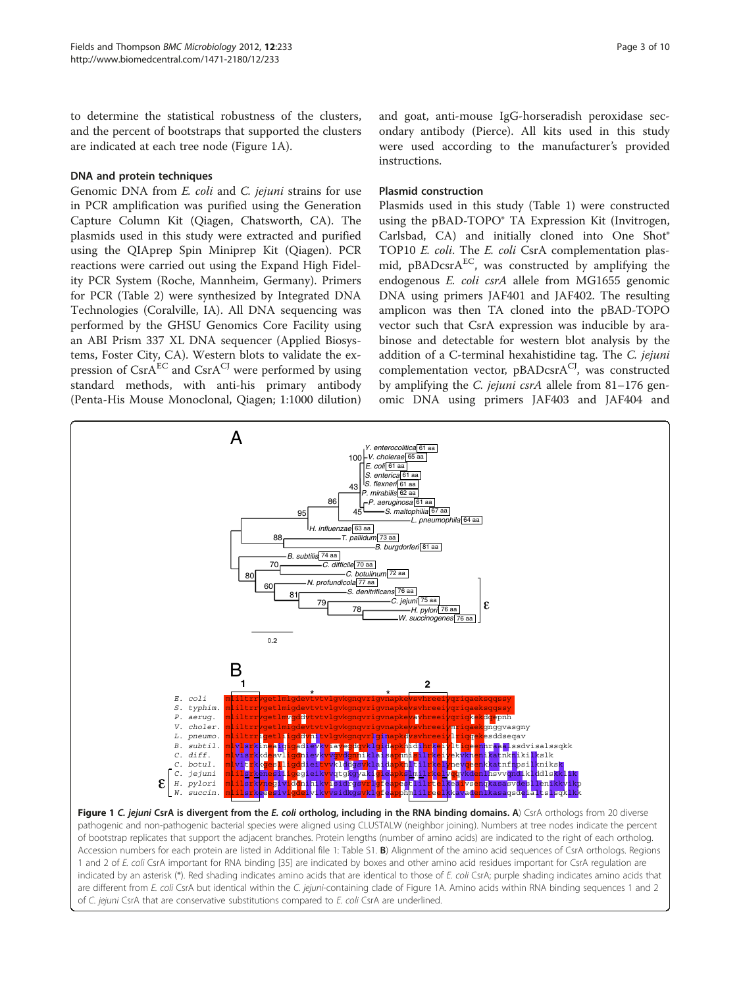<span id="page-2-0"></span>to determine the statistical robustness of the clusters, and the percent of bootstraps that supported the clusters are indicated at each tree node (Figure 1A).

#### DNA and protein techniques

Genomic DNA from E. coli and C. jejuni strains for use in PCR amplification was purified using the Generation Capture Column Kit (Qiagen, Chatsworth, CA). The plasmids used in this study were extracted and purified using the QIAprep Spin Miniprep Kit (Qiagen). PCR reactions were carried out using the Expand High Fidelity PCR System (Roche, Mannheim, Germany). Primers for PCR (Table [2\)](#page-3-0) were synthesized by Integrated DNA Technologies (Coralville, IA). All DNA sequencing was performed by the GHSU Genomics Core Facility using an ABI Prism 337 XL DNA sequencer (Applied Biosystems, Foster City, CA). Western blots to validate the expression of  $CsrA<sup>EC</sup>$  and  $CsrA<sup>CI</sup>$  were performed by using standard methods, with anti-his primary antibody (Penta-His Mouse Monoclonal, Qiagen; 1:1000 dilution)

and goat, anti-mouse IgG-horseradish peroxidase secondary antibody (Pierce). All kits used in this study were used according to the manufacturer's provided instructions.

#### Plasmid construction

 $^{\prime}$  enterocolitical 61 aa

A *Y. enterocolitica*

Plasmids used in this study (Table [1\)](#page-1-0) were constructed using the pBAD-TOPO® TA Expression Kit (Invitrogen, Carlsbad, CA) and initially cloned into One Shot® TOP10 E. coli. The E. coli CsrA complementation plasmid, pBADcsrA<sup>EC</sup>, was constructed by amplifying the endogenous E. coli csrA allele from MG1655 genomic DNA using primers JAF401 and JAF402. The resulting amplicon was then TA cloned into the pBAD-TOPO vector such that CsrA expression was inducible by arabinose and detectable for western blot analysis by the addition of a C-terminal hexahistidine tag. The C. jejuni complementation vector,  $pBADcsrA^{CI}$ , was constructed by amplifying the C. jejuni csrA allele from 81-176 genomic DNA using primers JAF403 and JAF404 and

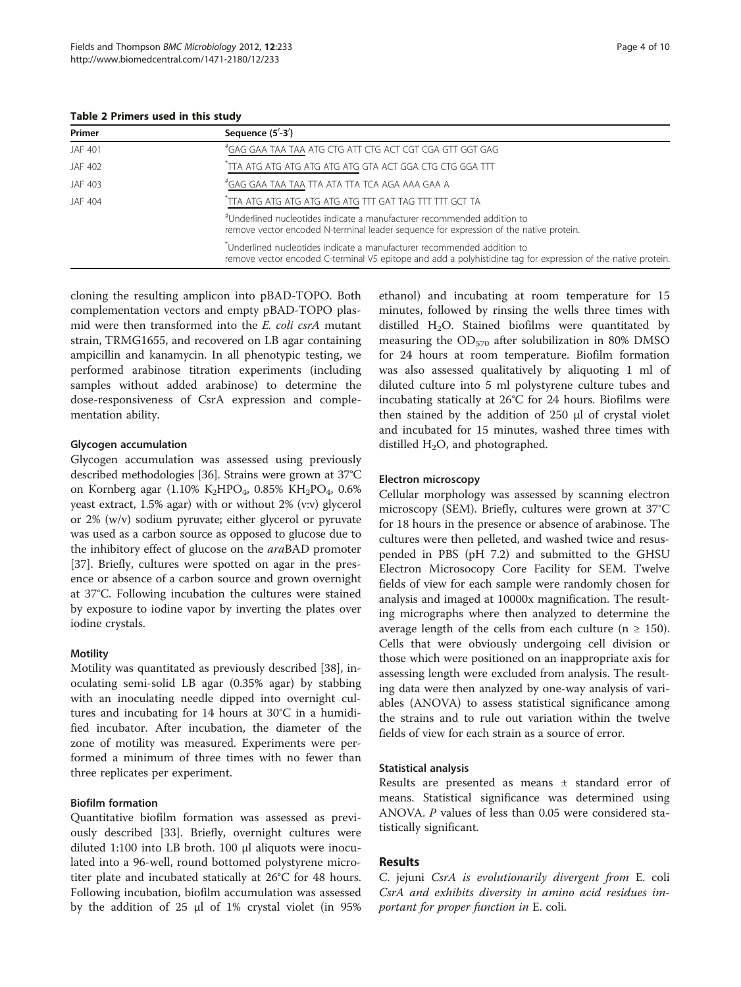<span id="page-3-0"></span>Table 2 Primers used in this study

| Primer  | Sequence $(5'-3')$                                                                                                                                                                       |  |
|---------|------------------------------------------------------------------------------------------------------------------------------------------------------------------------------------------|--|
| JAF 401 | "GAG GAA TAA TAA ATG CTG ATT CTG ACT CGT CGA GTT GGT GAG                                                                                                                                 |  |
| JAF 402 | *TTA ATG ATG ATG ATG ATG ATG GTA ACT GGA CTG CTG GGA TTT                                                                                                                                 |  |
| JAF 403 | "GAG GAA TAA TAA TTA ATA TTA TCA AGA AAA GAA A                                                                                                                                           |  |
| JAF 404 |                                                                                                                                                                                          |  |
|         | *Underlined nucleotides indicate a manufacturer recommended addition to<br>remove vector encoded N-terminal leader sequence for expression of the native protein.                        |  |
|         | *Underlined nucleotides indicate a manufacturer recommended addition to<br>remove vector encoded C-terminal V5 epitope and add a polyhistidine tag for expression of the native protein. |  |

cloning the resulting amplicon into pBAD-TOPO. Both complementation vectors and empty pBAD-TOPO plasmid were then transformed into the E. coli csrA mutant strain, TRMG1655, and recovered on LB agar containing ampicillin and kanamycin. In all phenotypic testing, we performed arabinose titration experiments (including samples without added arabinose) to determine the dose-responsiveness of CsrA expression and complementation ability.

#### Glycogen accumulation

Glycogen accumulation was assessed using previously described methodologies [\[36\]](#page-8-0). Strains were grown at 37°C on Kornberg agar (1.10% K<sub>2</sub>HPO<sub>4</sub>, 0.85% KH<sub>2</sub>PO<sub>4</sub>, 0.6% yeast extract, 1.5% agar) with or without 2% (v:v) glycerol or 2% (w/v) sodium pyruvate; either glycerol or pyruvate was used as a carbon source as opposed to glucose due to the inhibitory effect of glucose on the araBAD promoter [[37\]](#page-8-0). Briefly, cultures were spotted on agar in the presence or absence of a carbon source and grown overnight at 37°C. Following incubation the cultures were stained by exposure to iodine vapor by inverting the plates over iodine crystals.

#### **Motility**

Motility was quantitated as previously described [[38\]](#page-9-0), inoculating semi-solid LB agar (0.35% agar) by stabbing with an inoculating needle dipped into overnight cultures and incubating for 14 hours at 30°C in a humidified incubator. After incubation, the diameter of the zone of motility was measured. Experiments were performed a minimum of three times with no fewer than three replicates per experiment.

#### Biofilm formation

Quantitative biofilm formation was assessed as previously described [[33\]](#page-8-0). Briefly, overnight cultures were diluted 1:100 into LB broth. 100 μl aliquots were inoculated into a 96-well, round bottomed polystyrene microtiter plate and incubated statically at 26°C for 48 hours. Following incubation, biofilm accumulation was assessed by the addition of 25 μl of 1% crystal violet (in 95%

ethanol) and incubating at room temperature for 15 minutes, followed by rinsing the wells three times with distilled  $H_2O$ . Stained biofilms were quantitated by measuring the  $OD_{570}$  after solubilization in 80% DMSO for 24 hours at room temperature. Biofilm formation was also assessed qualitatively by aliquoting 1 ml of diluted culture into 5 ml polystyrene culture tubes and incubating statically at 26°C for 24 hours. Biofilms were then stained by the addition of 250 μl of crystal violet and incubated for 15 minutes, washed three times with distilled  $H_2O$ , and photographed.

#### Electron microscopy

Cellular morphology was assessed by scanning electron microscopy (SEM). Briefly, cultures were grown at 37°C for 18 hours in the presence or absence of arabinose. The cultures were then pelleted, and washed twice and resuspended in PBS (pH 7.2) and submitted to the GHSU Electron Microsocopy Core Facility for SEM. Twelve fields of view for each sample were randomly chosen for analysis and imaged at 10000x magnification. The resulting micrographs where then analyzed to determine the average length of the cells from each culture ( $n \geq 150$ ). Cells that were obviously undergoing cell division or those which were positioned on an inappropriate axis for assessing length were excluded from analysis. The resulting data were then analyzed by one-way analysis of variables (ANOVA) to assess statistical significance among the strains and to rule out variation within the twelve fields of view for each strain as a source of error.

#### Statistical analysis

Results are presented as means ± standard error of means. Statistical significance was determined using ANOVA. P values of less than 0.05 were considered statistically significant.

#### Results

C. jejuni CsrA is evolutionarily divergent from E. coli CsrA and exhibits diversity in amino acid residues important for proper function in E. coli.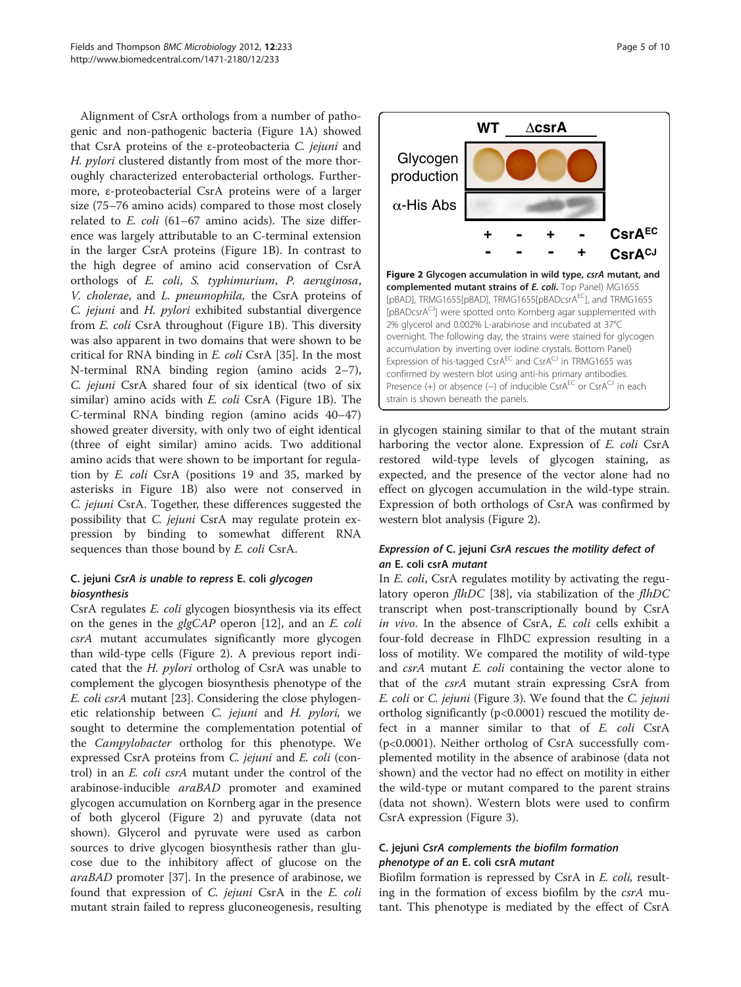Alignment of CsrA orthologs from a number of pathogenic and non-pathogenic bacteria (Figure [1A](#page-2-0)) showed that CsrA proteins of the ε-proteobacteria C. jejuni and H. pylori clustered distantly from most of the more thoroughly characterized enterobacterial orthologs. Furthermore, ε-proteobacterial CsrA proteins were of a larger size (75–76 amino acids) compared to those most closely related to E. coli (61–67 amino acids). The size difference was largely attributable to an C-terminal extension in the larger CsrA proteins (Figure [1B\)](#page-2-0). In contrast to the high degree of amino acid conservation of CsrA orthologs of E. coli, S. typhimurium, P. aeruginosa, V. cholerae, and L. pneumophila, the CsrA proteins of C. jejuni and H. pylori exhibited substantial divergence from E. coli CsrA throughout (Figure [1B\)](#page-2-0). This diversity was also apparent in two domains that were shown to be critical for RNA binding in E. coli CsrA [[35\]](#page-8-0). In the most N-terminal RNA binding region (amino acids 2–7), C. jejuni CsrA shared four of six identical (two of six similar) amino acids with *E. coli* CsrA (Figure [1B](#page-2-0)). The C-terminal RNA binding region (amino acids 40–47) showed greater diversity, with only two of eight identical (three of eight similar) amino acids. Two additional amino acids that were shown to be important for regulation by E. coli CsrA (positions 19 and 35, marked by asterisks in Figure [1B\)](#page-2-0) also were not conserved in C. jejuni CsrA. Together, these differences suggested the possibility that C. jejuni CsrA may regulate protein expression by binding to somewhat different RNA sequences than those bound by E. coli CsrA.

## C. jejuni CsrA is unable to repress E. coli glycogen biosynthesis

CsrA regulates E. coli glycogen biosynthesis via its effect on the genes in the glgCAP operon [\[12\]](#page-8-0), and an E. coli csrA mutant accumulates significantly more glycogen than wild-type cells (Figure 2). A previous report indicated that the H. pylori ortholog of CsrA was unable to complement the glycogen biosynthesis phenotype of the E. coli csrA mutant [[23](#page-8-0)]. Considering the close phylogenetic relationship between C. jejuni and H. pylori, we sought to determine the complementation potential of the Campylobacter ortholog for this phenotype. We expressed CsrA proteins from *C. jejuni* and *E. coli* (control) in an E. coli csrA mutant under the control of the arabinose-inducible araBAD promoter and examined glycogen accumulation on Kornberg agar in the presence of both glycerol (Figure 2) and pyruvate (data not shown). Glycerol and pyruvate were used as carbon sources to drive glycogen biosynthesis rather than glucose due to the inhibitory affect of glucose on the araBAD promoter [[37](#page-8-0)]. In the presence of arabinose, we found that expression of C. jejuni CsrA in the E. coli mutant strain failed to repress gluconeogenesis, resulting



in glycogen staining similar to that of the mutant strain harboring the vector alone. Expression of E. coli CsrA restored wild-type levels of glycogen staining, as expected, and the presence of the vector alone had no effect on glycogen accumulation in the wild-type strain. Expression of both orthologs of CsrA was confirmed by western blot analysis (Figure 2).

## Expression of C. jejuni CsrA rescues the motility defect of an E. coli csrA mutant

In E. coli, CsrA regulates motility by activating the regulatory operon flhDC [[38\]](#page-9-0), via stabilization of the flhDC transcript when post-transcriptionally bound by CsrA in vivo. In the absence of CsrA, E. coli cells exhibit a four-fold decrease in FlhDC expression resulting in a loss of motility. We compared the motility of wild-type and csrA mutant E. coli containing the vector alone to that of the csrA mutant strain expressing CsrA from E. coli or C. jejuni (Figure [3\)](#page-5-0). We found that the C. jejuni ortholog significantly (p<0.0001) rescued the motility defect in a manner similar to that of E. coli CsrA (p<0.0001). Neither ortholog of CsrA successfully complemented motility in the absence of arabinose (data not shown) and the vector had no effect on motility in either the wild-type or mutant compared to the parent strains (data not shown). Western blots were used to confirm CsrA expression (Figure [3\)](#page-5-0).

## C. jejuni CsrA complements the biofilm formation phenotype of an E. coli csrA mutant

Biofilm formation is repressed by CsrA in E. coli, resulting in the formation of excess biofilm by the csrA mutant. This phenotype is mediated by the effect of CsrA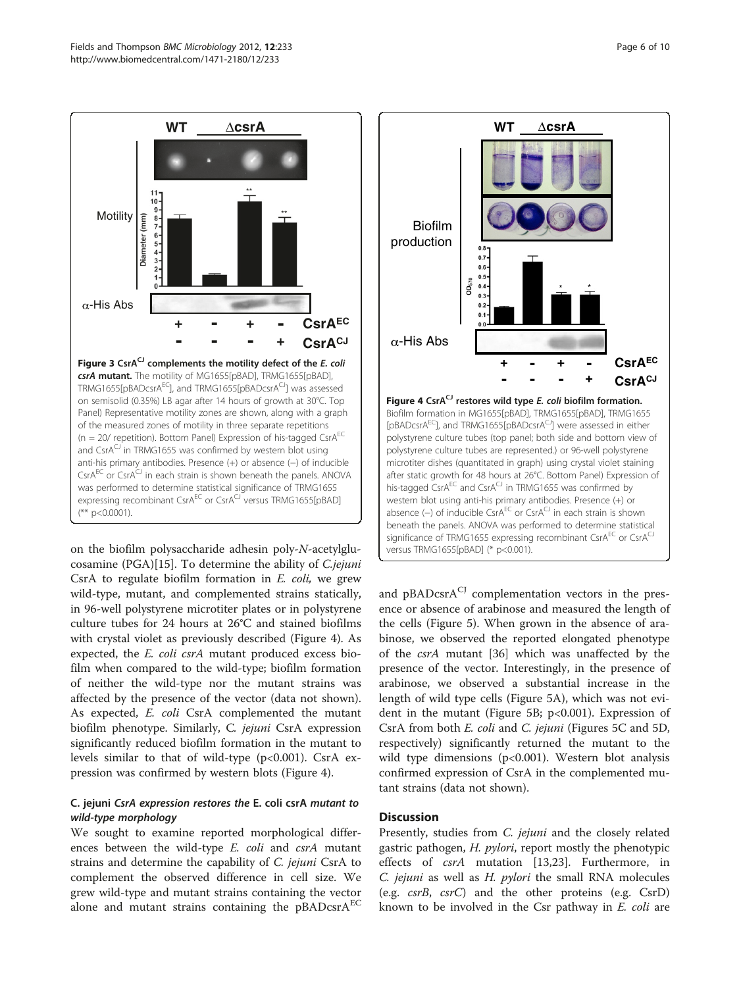<span id="page-5-0"></span>

on the biofilm polysaccharide adhesin poly-N-acetylglucosamine (PGA)[\[15](#page-8-0)]. To determine the ability of C.jejuni CsrA to regulate biofilm formation in  $E$ . coli, we grew wild-type, mutant, and complemented strains statically, in 96-well polystyrene microtiter plates or in polystyrene culture tubes for 24 hours at 26°C and stained biofilms with crystal violet as previously described (Figure 4). As expected, the E. coli csrA mutant produced excess biofilm when compared to the wild-type; biofilm formation of neither the wild-type nor the mutant strains was affected by the presence of the vector (data not shown). As expected, E. coli CsrA complemented the mutant biofilm phenotype. Similarly, C. jejuni CsrA expression significantly reduced biofilm formation in the mutant to levels similar to that of wild-type (p<0.001). CsrA expression was confirmed by western blots (Figure 4).

## C. jejuni CsrA expression restores the E. coli csrA mutant to wild-type morphology

We sought to examine reported morphological differences between the wild-type *E. coli* and *csrA* mutant strains and determine the capability of C. jejuni CsrA to complement the observed difference in cell size. We grew wild-type and mutant strains containing the vector alone and mutant strains containing the pBADcsrA<sup>EC</sup>



and pBADcsrA<sup>CJ</sup> complementation vectors in the presence or absence of arabinose and measured the length of the cells (Figure [5](#page-6-0)). When grown in the absence of arabinose, we observed the reported elongated phenotype of the csrA mutant [\[36\]](#page-8-0) which was unaffected by the presence of the vector. Interestingly, in the presence of arabinose, we observed a substantial increase in the length of wild type cells (Figure [5A](#page-6-0)), which was not evi-dent in the mutant (Figure [5B;](#page-6-0) p<0.001). Expression of CsrA from both E. coli and C. jejuni (Figures [5C](#page-6-0) and [5D,](#page-6-0) respectively) significantly returned the mutant to the wild type dimensions (p<0.001). Western blot analysis confirmed expression of CsrA in the complemented mutant strains (data not shown).

## **Discussion**

Presently, studies from C. jejuni and the closely related gastric pathogen, H. pylori, report mostly the phenotypic effects of csrA mutation [[13,23\]](#page-8-0). Furthermore, in C. jejuni as well as H. pylori the small RNA molecules (e.g. csrB, csrC) and the other proteins (e.g. CsrD) known to be involved in the Csr pathway in E. coli are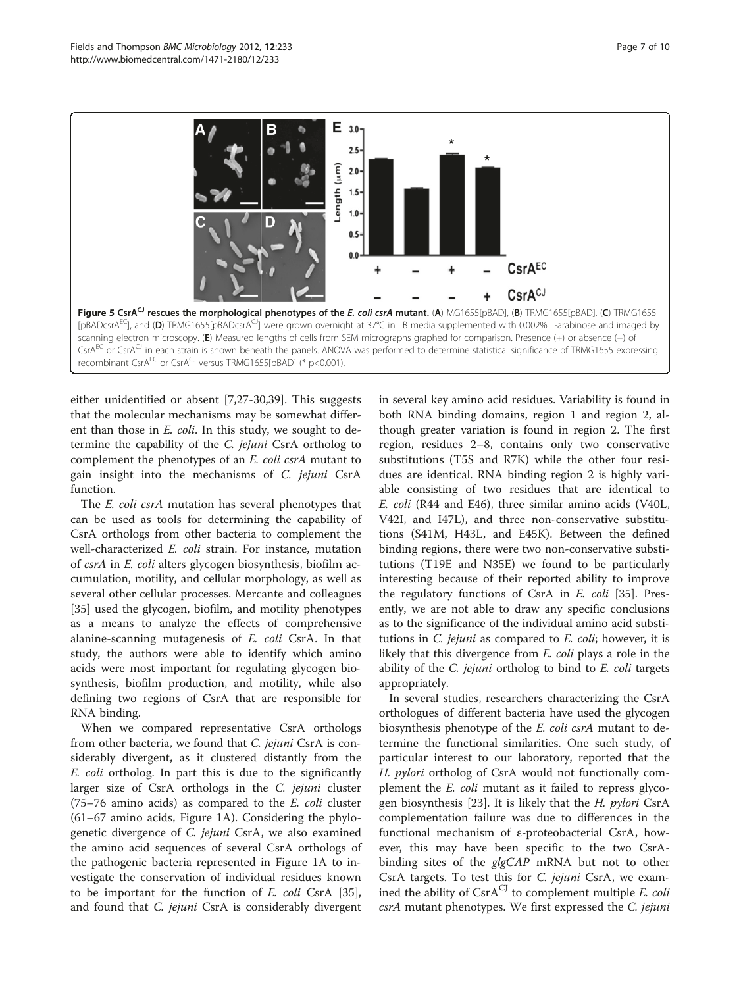<span id="page-6-0"></span>

either unidentified or absent [\[7,27](#page-8-0)-[30,](#page-8-0)[39\]](#page-9-0). This suggests that the molecular mechanisms may be somewhat different than those in E. coli. In this study, we sought to determine the capability of the C. jejuni CsrA ortholog to complement the phenotypes of an E. coli csrA mutant to gain insight into the mechanisms of C. jejuni CsrA function.

The *E. coli csrA* mutation has several phenotypes that can be used as tools for determining the capability of CsrA orthologs from other bacteria to complement the well-characterized *E. coli* strain. For instance, mutation of csrA in E. coli alters glycogen biosynthesis, biofilm accumulation, motility, and cellular morphology, as well as several other cellular processes. Mercante and colleagues [[35\]](#page-8-0) used the glycogen, biofilm, and motility phenotypes as a means to analyze the effects of comprehensive alanine-scanning mutagenesis of E. coli CsrA. In that study, the authors were able to identify which amino acids were most important for regulating glycogen biosynthesis, biofilm production, and motility, while also defining two regions of CsrA that are responsible for RNA binding.

When we compared representative CsrA orthologs from other bacteria, we found that *C. jejuni* CsrA is considerably divergent, as it clustered distantly from the E. coli ortholog. In part this is due to the significantly larger size of CsrA orthologs in the C. jejuni cluster (75–76 amino acids) as compared to the  $E.$   $coll$  cluster (61–67 amino acids, Figure [1A\)](#page-2-0). Considering the phylogenetic divergence of C. jejuni CsrA, we also examined the amino acid sequences of several CsrA orthologs of the pathogenic bacteria represented in Figure [1A](#page-2-0) to investigate the conservation of individual residues known to be important for the function of  $E$ . coli CsrA [\[35](#page-8-0)], and found that C. jejuni CsrA is considerably divergent in several key amino acid residues. Variability is found in both RNA binding domains, region 1 and region 2, although greater variation is found in region 2. The first region, residues 2–8, contains only two conservative substitutions (T5S and R7K) while the other four residues are identical. RNA binding region 2 is highly variable consisting of two residues that are identical to E. coli (R44 and E46), three similar amino acids (V40L, V42I, and I47L), and three non-conservative substitutions (S41M, H43L, and E45K). Between the defined binding regions, there were two non-conservative substitutions (T19E and N35E) we found to be particularly interesting because of their reported ability to improve the regulatory functions of CsrA in E. coli [[35](#page-8-0)]. Presently, we are not able to draw any specific conclusions as to the significance of the individual amino acid substitutions in  $C$ . *jejuni* as compared to  $E$ . *coli*; however, it is likely that this divergence from *E. coli* plays a role in the ability of the C. jejuni ortholog to bind to E. coli targets appropriately.

In several studies, researchers characterizing the CsrA orthologues of different bacteria have used the glycogen biosynthesis phenotype of the *E. coli csrA* mutant to determine the functional similarities. One such study, of particular interest to our laboratory, reported that the H. pylori ortholog of CsrA would not functionally complement the *E. coli* mutant as it failed to repress glyco-gen biosynthesis [[23\]](#page-8-0). It is likely that the H. pylori CsrA complementation failure was due to differences in the functional mechanism of ε-proteobacterial CsrA, however, this may have been specific to the two CsrAbinding sites of the glgCAP mRNA but not to other CsrA targets. To test this for C. jejuni CsrA, we examined the ability of  $CsrA^{CI}$  to complement multiple E. coli csrA mutant phenotypes. We first expressed the C. jejuni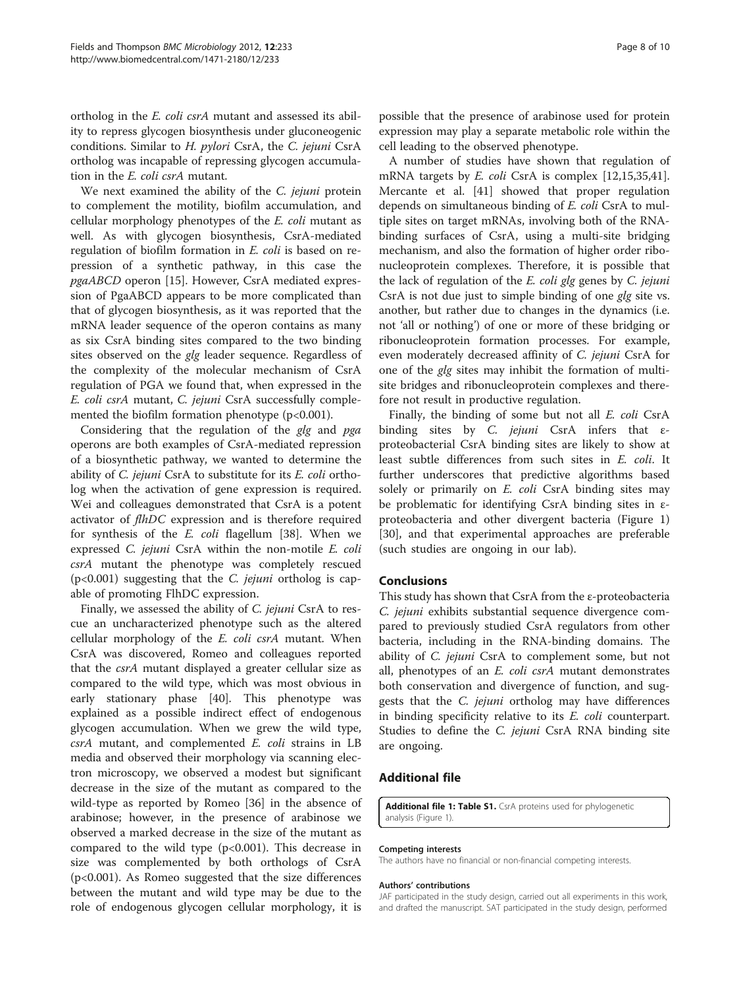<span id="page-7-0"></span>ortholog in the E. coli csrA mutant and assessed its ability to repress glycogen biosynthesis under gluconeogenic conditions. Similar to H. pylori CsrA, the C. jejuni CsrA ortholog was incapable of repressing glycogen accumulation in the E. coli csrA mutant.

We next examined the ability of the C. jejuni protein to complement the motility, biofilm accumulation, and cellular morphology phenotypes of the E. coli mutant as well. As with glycogen biosynthesis, CsrA-mediated regulation of biofilm formation in E. coli is based on repression of a synthetic pathway, in this case the pgaABCD operon [[15\]](#page-8-0). However, CsrA mediated expression of PgaABCD appears to be more complicated than that of glycogen biosynthesis, as it was reported that the mRNA leader sequence of the operon contains as many as six CsrA binding sites compared to the two binding sites observed on the glg leader sequence. Regardless of the complexity of the molecular mechanism of CsrA regulation of PGA we found that, when expressed in the E. coli csrA mutant, C. jejuni CsrA successfully complemented the biofilm formation phenotype (p<0.001).

Considering that the regulation of the glg and pga operons are both examples of CsrA-mediated repression of a biosynthetic pathway, we wanted to determine the ability of C. jejuni CsrA to substitute for its E. coli ortholog when the activation of gene expression is required. Wei and colleagues demonstrated that CsrA is a potent activator of flhDC expression and is therefore required for synthesis of the E. coli flagellum [[38\]](#page-9-0). When we expressed C. jejuni CsrA within the non-motile E. coli csrA mutant the phenotype was completely rescued  $(p<0.001)$  suggesting that the *C. jejuni* ortholog is capable of promoting FlhDC expression.

Finally, we assessed the ability of C. jejuni CsrA to rescue an uncharacterized phenotype such as the altered cellular morphology of the E. coli csrA mutant. When CsrA was discovered, Romeo and colleagues reported that the csrA mutant displayed a greater cellular size as compared to the wild type, which was most obvious in early stationary phase [\[40\]](#page-9-0). This phenotype was explained as a possible indirect effect of endogenous glycogen accumulation. When we grew the wild type, csrA mutant, and complemented E. coli strains in LB media and observed their morphology via scanning electron microscopy, we observed a modest but significant decrease in the size of the mutant as compared to the wild-type as reported by Romeo [\[36\]](#page-8-0) in the absence of arabinose; however, in the presence of arabinose we observed a marked decrease in the size of the mutant as compared to the wild type  $(p<0.001)$ . This decrease in size was complemented by both orthologs of CsrA (p<0.001). As Romeo suggested that the size differences between the mutant and wild type may be due to the role of endogenous glycogen cellular morphology, it is

possible that the presence of arabinose used for protein expression may play a separate metabolic role within the cell leading to the observed phenotype.

A number of studies have shown that regulation of mRNA targets by *E. coli* CsrA is complex [[12](#page-8-0),[15,35](#page-8-0)[,41](#page-9-0)]. Mercante et al. [[41](#page-9-0)] showed that proper regulation depends on simultaneous binding of E. coli CsrA to multiple sites on target mRNAs, involving both of the RNAbinding surfaces of CsrA, using a multi-site bridging mechanism, and also the formation of higher order ribonucleoprotein complexes. Therefore, it is possible that the lack of regulation of the  $E$ . coli glg genes by  $C$ . jejuni CsrA is not due just to simple binding of one glg site vs. another, but rather due to changes in the dynamics (i.e. not 'all or nothing') of one or more of these bridging or ribonucleoprotein formation processes. For example, even moderately decreased affinity of C. jejuni CsrA for one of the glg sites may inhibit the formation of multisite bridges and ribonucleoprotein complexes and therefore not result in productive regulation.

Finally, the binding of some but not all E. coli CsrA binding sites by C. *jejuni* CsrA infers that  $\varepsilon$ proteobacterial CsrA binding sites are likely to show at least subtle differences from such sites in E. coli. It further underscores that predictive algorithms based solely or primarily on E. coli CsrA binding sites may be problematic for identifying CsrA binding sites in εproteobacteria and other divergent bacteria (Figure [1](#page-2-0)) [[30\]](#page-8-0), and that experimental approaches are preferable (such studies are ongoing in our lab).

#### Conclusions

This study has shown that CsrA from the ε-proteobacteria C. jejuni exhibits substantial sequence divergence compared to previously studied CsrA regulators from other bacteria, including in the RNA-binding domains. The ability of C. jejuni CsrA to complement some, but not all, phenotypes of an E. coli csrA mutant demonstrates both conservation and divergence of function, and suggests that the C. jejuni ortholog may have differences in binding specificity relative to its E. coli counterpart. Studies to define the C. jejuni CsrA RNA binding site are ongoing.

#### Additional file

[Additional file 1: Table S1.](http://www.biomedcentral.com/content/supplementary/1471-2180-12-233-S1.pdf) CsrA proteins used for phylogenetic analysis (Figure 1).

#### Competing interests

The authors have no financial or non-financial competing interests.

#### Authors' contributions

JAF participated in the study design, carried out all experiments in this work, and drafted the manuscript. SAT participated in the study design, performed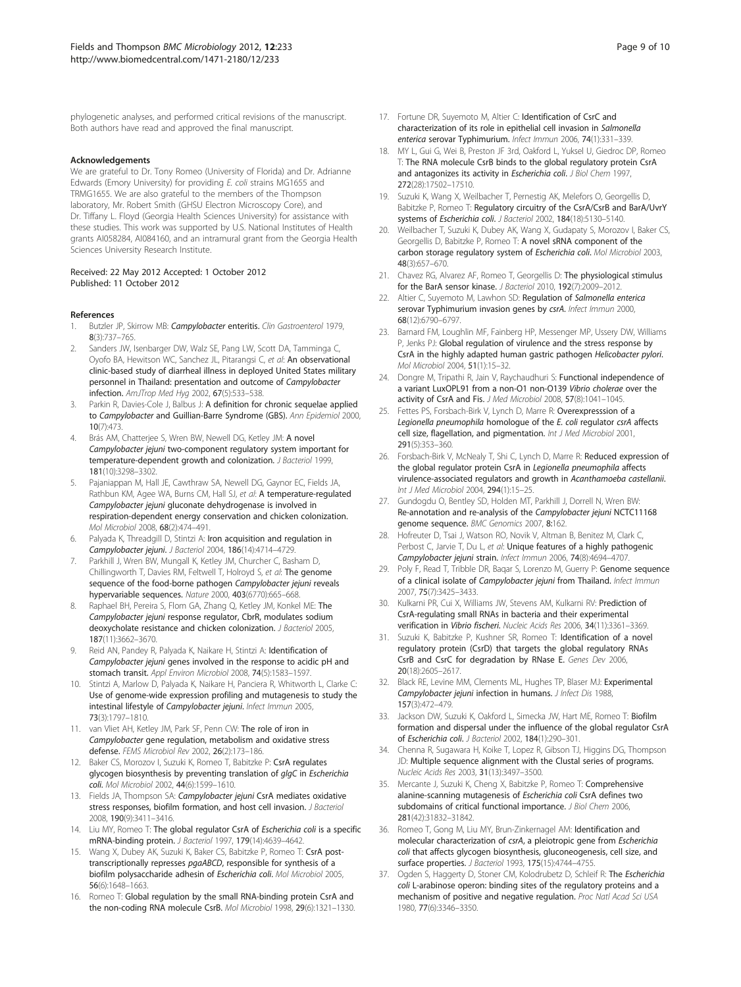<span id="page-8-0"></span>phylogenetic analyses, and performed critical revisions of the manuscript. Both authors have read and approved the final manuscript.

#### Acknowledgements

We are grateful to Dr. Tony Romeo (University of Florida) and Dr. Adrianne Edwards (Emory University) for providing E. coli strains MG1655 and TRMG1655. We are also grateful to the members of the Thompson laboratory, Mr. Robert Smith (GHSU Electron Microscopy Core), and Dr. Tiffany L. Floyd (Georgia Health Sciences University) for assistance with these studies. This work was supported by U.S. National Institutes of Health grants AI058284, AI084160, and an intramural grant from the Georgia Health Sciences University Research Institute.

#### Received: 22 May 2012 Accepted: 1 October 2012 Published: 11 October 2012

#### References

- Butzler JP, Skirrow MB: Campylobacter enteritis. Clin Gastroenterol 1979, 8(3):737–765.
- Sanders JW, Isenbarger DW, Walz SE, Pang LW, Scott DA, Tamminga C, Oyofo BA, Hewitson WC, Sanchez JL, Pitarangsi C, et al: An observational clinic-based study of diarrheal illness in deployed United States military personnel in Thailand: presentation and outcome of Campylobacter infection. AmJTrop Med Hyg 2002, 67(5):533–538.
- Parkin R, Davies-Cole J, Balbus J: A definition for chronic sequelae applied to Campylobacter and Guillian-Barre Syndrome (GBS). Ann Epidemiol 2000, 10(7):473.
- 4. Brás AM, Chatterjee S, Wren BW, Newell DG, Ketley JM: A novel Campylobacter jejuni two-component regulatory system important for temperature-dependent growth and colonization. J Bacteriol 1999, 181(10):3298–3302.
- Pajaniappan M, Hall JE, Cawthraw SA, Newell DG, Gaynor EC, Fields JA, Rathbun KM, Agee WA, Burns CM, Hall SJ, et al: A temperature-regulated Campylobacter jejuni gluconate dehydrogenase is involved in respiration-dependent energy conservation and chicken colonization. Mol Microbiol 2008, 68(2):474–491.
- Palyada K, Threadgill D, Stintzi A: Iron acquisition and regulation in
- Campylobacter jejuni. J Bacteriol 2004, <sup>186</sup>(14):4714–4729. 7. Parkhill J, Wren BW, Mungall K, Ketley JM, Churcher C, Basham D, Chillingworth T, Davies RM, Feltwell T, Holroyd S, et al: The genome sequence of the food-borne pathogen Campylobacter jejuni reveals hypervariable sequences. Nature 2000, 403(6770):665–668.
- Raphael BH, Pereira S, Flom GA, Zhang Q, Ketley JM, Konkel ME: The Campylobacter jejuni response regulator, CbrR, modulates sodium deoxycholate resistance and chicken colonization. J Bacteriol 2005, 187(11):3662–3670.
- Reid AN, Pandey R, Palyada K, Naikare H, Stintzi A: Identification of Campylobacter jejuni genes involved in the response to acidic pH and stomach transit. Appl Environ Microbiol 2008, 74(5):1583–1597.
- 10. Stintzi A, Marlow D, Palyada K, Naikare H, Panciera R, Whitworth L, Clarke C: Use of genome-wide expression profiling and mutagenesis to study the intestinal lifestyle of Campylobacter jejuni. Infect Immun 2005, 73(3):1797–1810.
- 11. van Vliet AH, Ketley JM, Park SF, Penn CW: The role of iron in Campylobacter gene regulation, metabolism and oxidative stress defense. FEMS Microbiol Rev 2002, 26(2):173–186.
- 12. Baker CS, Morozov I, Suzuki K, Romeo T, Babitzke P: CsrA regulates glycogen biosynthesis by preventing translation of glgC in Escherichia coli. Mol Microbiol 2002, <sup>44</sup>(6):1599–1610.
- 13. Fields JA, Thompson SA: Campylobacter jejuni CsrA mediates oxidative stress responses, biofilm formation, and host cell invasion. J Bacteriol 2008, 190(9):3411–3416.
- 14. Liu MY, Romeo T: The global regulator CsrA of Escherichia coli is a specific mRNA-binding protein. J Bacteriol 1997, 179(14):4639–4642.
- 15. Wang X, Dubey AK, Suzuki K, Baker CS, Babitzke P, Romeo T: CsrA posttranscriptionally represses pgaABCD, responsible for synthesis of a biofilm polysaccharide adhesin of Escherichia coli. Mol Microbiol 2005, 56(6):1648–1663.
- 16. Romeo T: Global regulation by the small RNA-binding protein CsrA and the non-coding RNA molecule CsrB. Mol Microbiol 1998, 29(6):1321–1330.
- 17. Fortune DR, Suyemoto M, Altier C: Identification of CsrC and characterization of its role in epithelial cell invasion in Salmonella enterica serovar Typhimurium. Infect Immun 2006, <sup>74</sup>(1):331–339.
- 18. MY L, Gui G, Wei B, Preston JF 3rd, Oakford L, Yuksel U, Giedroc DP, Romeo T: The RNA molecule CsrB binds to the global regulatory protein CsrA and antagonizes its activity in Escherichia coli. J Biol Chem 1997, 272(28):17502–17510.
- 19. Suzuki K, Wang X, Weilbacher T, Pernestig AK, Melefors O, Georgellis D, Babitzke P, Romeo T: Regulatory circuitry of the CsrA/CsrB and BarA/UvrY systems of Escherichia coli. J Bacteriol 2002, <sup>184</sup>(18):5130–5140.
- 20. Weilbacher T, Suzuki K, Dubey AK, Wang X, Gudapaty S, Morozov I, Baker CS, Georgellis D, Babitzke P, Romeo T: A novel sRNA component of the carbon storage regulatory system of Escherichia coli. Mol Microbiol 2003, 48(3):657–670.
- 21. Chavez RG, Alvarez AF, Romeo T, Georgellis D: The physiological stimulus for the BarA sensor kinase. J Bacteriol 2010, 192(7):2009–2012.
- 22. Altier C, Suyemoto M, Lawhon SD: Regulation of Salmonella enterica serovar Typhimurium invasion genes by csrA. Infect Immun 2000, 68(12):6790–6797.
- 23. Barnard FM, Loughlin MF, Fainberg HP, Messenger MP, Ussery DW, Williams P, Jenks PJ: Global regulation of virulence and the stress response by CsrA in the highly adapted human gastric pathogen Helicobacter pylori. Mol Microbiol 2004, 51(1):15–32.
- 24. Dongre M, Tripathi R, Jain V, Raychaudhuri S: Functional independence of a variant LuxOPL91 from a non-O1 non-O139 Vibrio cholerae over the activity of CsrA and Fis. J Med Microbiol 2008, 57(8):1041–1045.
- 25. Fettes PS, Forsbach-Birk V, Lynch D, Marre R: Overexpresssion of a Legionella pneumophila homologue of the E. coli regulator csrA affects cell size, flagellation, and pigmentation. Int J Med Microbiol 2001, 291(5):353–360.
- 26. Forsbach-Birk V, McNealy T, Shi C, Lynch D, Marre R: Reduced expression of the global regulator protein CsrA in Legionella pneumophila affects virulence-associated regulators and growth in Acanthamoeba castellanii. Int J Med Microbiol 2004, 294(1):15–25.
- 27. Gundogdu O, Bentley SD, Holden MT, Parkhill J, Dorrell N, Wren BW: Re-annotation and re-analysis of the Campylobacter jejuni NCTC11168 genome sequence. BMC Genomics 2007, 8:162.
- 28. Hofreuter D, Tsai J, Watson RO, Novik V, Altman B, Benitez M, Clark C, Perbost C, Jarvie T, Du L, et al: Unique features of a highly pathogenic Campylobacter jejuni strain. Infect Immun 2006, <sup>74</sup>(8):4694–4707.
- 29. Poly F, Read T, Tribble DR, Bagar S, Lorenzo M, Guerry P: Genome sequence of a clinical isolate of Campylobacter jejuni from Thailand. Infect Immun 2007, 75(7):3425–3433.
- 30. Kulkarni PR, Cui X, Williams JW, Stevens AM, Kulkarni RV: Prediction of CsrA-regulating small RNAs in bacteria and their experimental verification in Vibrio fischeri. Nucleic Acids Res 2006, <sup>34</sup>(11):3361–3369.
- 31. Suzuki K, Babitzke P, Kushner SR, Romeo T: Identification of a novel regulatory protein (CsrD) that targets the global regulatory RNAs CsrB and CsrC for degradation by RNase E. Genes Dev 2006, 20(18):2605–2617.
- 32. Black RE, Levine MM, Clements ML, Hughes TP, Blaser MJ: Experimental Campylobacter jejuni infection in humans. J Infect Dis 1988, 157(3):472–479.
- 33. Jackson DW, Suzuki K, Oakford L, Simecka JW, Hart ME, Romeo T: Biofilm formation and dispersal under the influence of the global regulator CsrA of Escherichia coli. J Bacteriol 2002, <sup>184</sup>(1):290–301.
- 34. Chenna R, Sugawara H, Koike T, Lopez R, Gibson TJ, Higgins DG, Thompson JD: Multiple sequence alignment with the Clustal series of programs. Nucleic Acids Res 2003, 31(13):3497–3500.
- 35. Mercante J, Suzuki K, Cheng X, Babitzke P, Romeo T: Comprehensive alanine-scanning mutagenesis of Escherichia coli CsrA defines two subdomains of critical functional importance. J Biol Chem 2006, 281(42):31832–31842.
- 36. Romeo T, Gong M, Liu MY, Brun-Zinkernagel AM: Identification and molecular characterization of csrA, a pleiotropic gene from Escherichia coli that affects glycogen biosynthesis, gluconeogenesis, cell size, and surface properties. J Bacteriol 1993, 175(15):4744–4755.
- 37. Ogden S, Haggerty D, Stoner CM, Kolodrubetz D, Schleif R: The Escherichia coli L-arabinose operon: binding sites of the regulatory proteins and a mechanism of positive and negative regulation. Proc Natl Acad Sci USA 1980, 77(6):3346–3350.